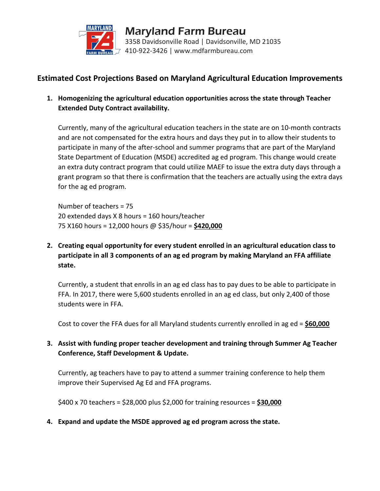

## **Estimated Cost Projections Based on Maryland Agricultural Education Improvements**

**1. Homogenizing the agricultural education opportunities across the state through Teacher Extended Duty Contract availability.**

Currently, many of the agricultural education teachers in the state are on 10-month contracts and are not compensated for the extra hours and days they put in to allow their students to participate in many of the after-school and summer programs that are part of the Maryland State Department of Education (MSDE) accredited ag ed program. This change would create an extra duty contract program that could utilize MAEF to issue the extra duty days through a grant program so that there is confirmation that the teachers are actually using the extra days for the ag ed program.

Number of teachers = 75 20 extended days X 8 hours = 160 hours/teacher 75 X160 hours = 12,000 hours @ \$35/hour = **\$420,000**

**2. Creating equal opportunity for every student enrolled in an agricultural education class to participate in all 3 components of an ag ed program by making Maryland an FFA affiliate state.**

Currently, a student that enrolls in an ag ed class has to pay dues to be able to participate in FFA. In 2017, there were 5,600 students enrolled in an ag ed class, but only 2,400 of those students were in FFA.

Cost to cover the FFA dues for all Maryland students currently enrolled in ag ed = **\$60,000**

**3. Assist with funding proper teacher development and training through Summer Ag Teacher Conference, Staff Development & Update.**

Currently, ag teachers have to pay to attend a summer training conference to help them improve their Supervised Ag Ed and FFA programs.

\$400 x 70 teachers = \$28,000 plus \$2,000 for training resources = **\$30,000**

**4. Expand and update the MSDE approved ag ed program across the state.**